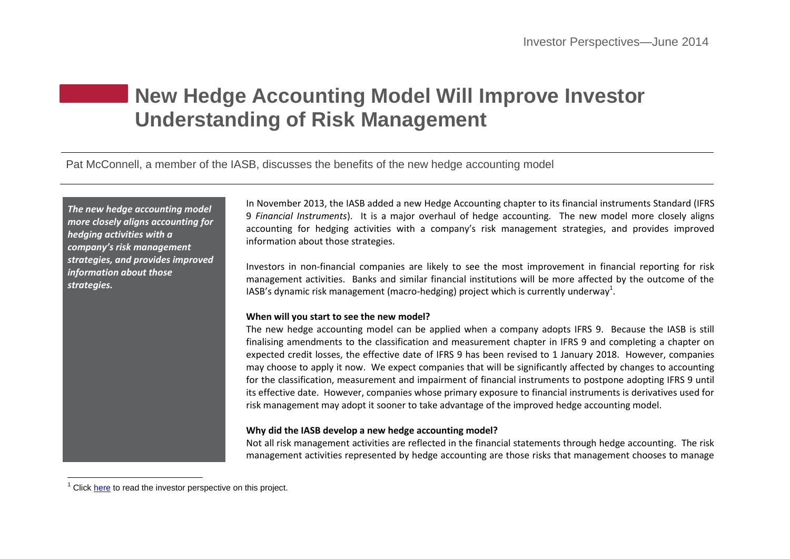# **New Hedge Accounting Model Will Improve Investor Understanding of Risk Management**

Pat McConnell, a member of the IASB, discusses the benefits of the new hedge accounting model

*The new hedge accounting model more closely aligns accounting for hedging activities with a company's risk management strategies, and provides improved information about those strategies.*

In November 2013, the IASB added a new Hedge Accounting chapter to its financial instruments Standard (IFRS 9 *Financial Instruments*). It is a major overhaul of hedge accounting. The new model more closely aligns accounting for hedging activities with a company's risk management strategies, and provides improved information about those strategies.

Investors in non-financial companies are likely to see the most improvement in financial reporting for risk management activities. Banks and similar financial institutions will be more affected by the outcome of the IASB's dynamic risk management (macro-hedging) project which is currently underway<sup>1</sup>.

# **When will you start to see the new model?**

The new hedge accounting model can be applied when a company adopts IFRS 9. Because the IASB is still finalising amendments to the classification and measurement chapter in IFRS 9 and completing a chapter on expected credit losses, the effective date of IFRS 9 has been revised to 1 January 2018. However, companies may choose to apply it now. We expect companies that will be significantly affected by changes to accounting for the classification, measurement and impairment of financial instruments to postpone adopting IFRS 9 until its effective date. However, companies whose primary exposure to financial instruments is derivatives used for risk management may adopt it sooner to take advantage of the improved hedge accounting model.

# **Why did the IASB develop a new hedge accounting model?**

Not all risk management activities are reflected in the financial statements through hedge accounting. The risk management activities represented by hedge accounting are those risks that management chooses to manage

 $\overline{a}$ 

 $1$  Click [here](http://www.ifrs.org/Investor-resources/2014-Investor-Perspectives/Pages/Dynamic-risk-management-accounting-in-an-age-of-complexity-April-2014.aspx) to read the investor perspective on this project.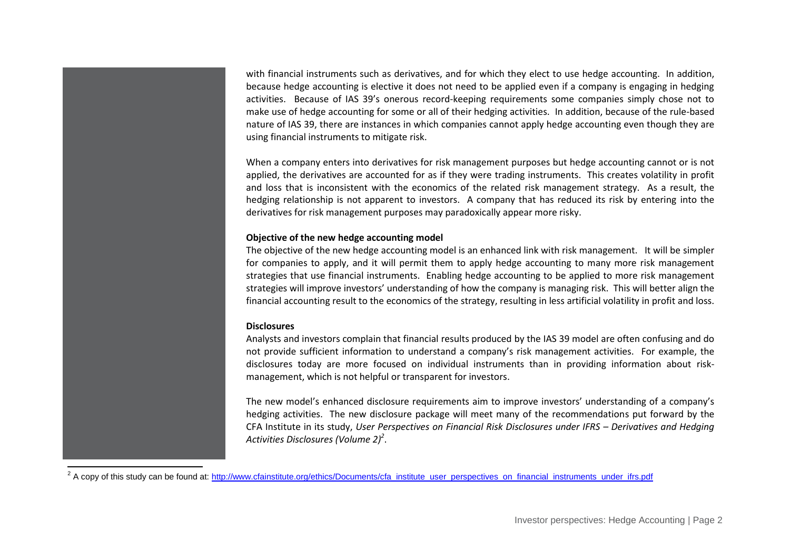with financial instruments such as derivatives, and for which they elect to use hedge accounting. In addition, because hedge accounting is elective it does not need to be applied even if a company is engaging in hedging activities. Because of IAS 39's onerous record-keeping requirements some companies simply chose not to make use of hedge accounting for some or all of their hedging activities. In addition, because of the rule-based nature of IAS 39, there are instances in which companies cannot apply hedge accounting even though they are using financial instruments to mitigate risk.

When a company enters into derivatives for risk management purposes but hedge accounting cannot or is not applied, the derivatives are accounted for as if they were trading instruments. This creates volatility in profit and loss that is inconsistent with the economics of the related risk management strategy. As a result, the hedging relationship is not apparent to investors. A company that has reduced its risk by entering into the derivatives for risk management purposes may paradoxically appear more risky.

### **Objective of the new hedge accounting model**

The objective of the new hedge accounting model is an enhanced link with risk management. It will be simpler for companies to apply, and it will permit them to apply hedge accounting to many more risk management strategies that use financial instruments. Enabling hedge accounting to be applied to more risk management strategies will improve investors' understanding of how the company is managing risk. This will better align the financial accounting result to the economics of the strategy, resulting in less artificial volatility in profit and loss.

### **Disclosures**

 $\overline{\phantom{a}}$ 

Analysts and investors complain that financial results produced by the IAS 39 model are often confusing and do not provide sufficient information to understand a company's risk management activities. For example, the disclosures today are more focused on individual instruments than in providing information about riskmanagement, which is not helpful or transparent for investors.

The new model's enhanced disclosure requirements aim to improve investors' understanding of a company's hedging activities. The new disclosure package will meet many of the recommendations put forward by the CFA Institute in its study, *User Perspectives on Financial Risk Disclosures under IFRS – Derivatives and Hedging Activities Disclosures (Volume 2)<sup>2</sup>* .

<sup>&</sup>lt;sup>2</sup> A copy of this study can be found at: [http://www.cfainstitute.org/ethics/Documents/cfa\\_institute\\_user\\_perspectives\\_on\\_financial\\_instruments\\_under\\_ifrs.pdf](http://www.cfainstitute.org/ethics/Documents/cfa_institute_user_perspectives_on_financial_instruments_under_ifrs.pdf)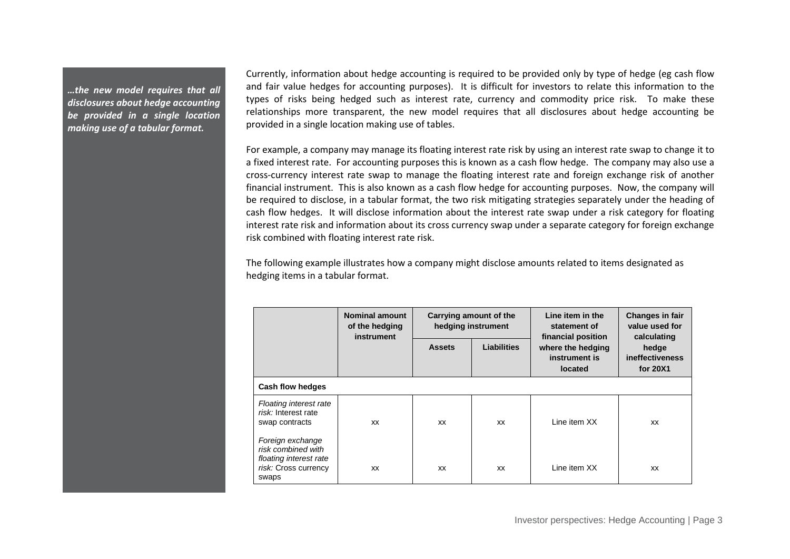*…the new model requires that all disclosures about hedge accounting be provided in a single location making use of a tabular format.*

Currently, information about hedge accounting is required to be provided only by type of hedge (eg cash flow and fair value hedges for accounting purposes). It is difficult for investors to relate this information to the types of risks being hedged such as interest rate, currency and commodity price risk. To make these relationships more transparent, the new model requires that all disclosures about hedge accounting be provided in a single location making use of tables.

For example, a company may manage its floating interest rate risk by using an interest rate swap to change it to a fixed interest rate. For accounting purposes this is known as a cash flow hedge. The company may also use a cross-currency interest rate swap to manage the floating interest rate and foreign exchange risk of another financial instrument. This is also known as a cash flow hedge for accounting purposes. Now, the company will be required to disclose, in a tabular format, the two risk mitigating strategies separately under the heading of cash flow hedges. It will disclose information about the interest rate swap under a risk category for floating interest rate risk and information about its cross currency swap under a separate category for foreign exchange risk combined with floating interest rate risk.

The following example illustrates how a company might disclose amounts related to items designated as hedging items in a tabular format.

|                                                                                                   | <b>Nominal amount</b><br>of the hedging<br>instrument | Carrying amount of the<br>hedging instrument |                    | Line item in the<br>statement of<br>financial position | Changes in fair<br>value used for<br>calculating |  |  |  |
|---------------------------------------------------------------------------------------------------|-------------------------------------------------------|----------------------------------------------|--------------------|--------------------------------------------------------|--------------------------------------------------|--|--|--|
|                                                                                                   |                                                       | <b>Assets</b>                                | <b>Liabilities</b> | where the hedging<br>instrument is<br>located          | hedge<br><b>ineffectiveness</b><br>for 20X1      |  |  |  |
| Cash flow hedges                                                                                  |                                                       |                                              |                    |                                                        |                                                  |  |  |  |
| Floating interest rate<br>risk: Interest rate<br>swap contracts                                   | XX                                                    | XX                                           | XX                 | I ine item XX                                          | XX                                               |  |  |  |
| Foreign exchange<br>risk combined with<br>floating interest rate<br>risk: Cross currency<br>swaps | XX                                                    | XX                                           | XX                 | Line item XX                                           | XX                                               |  |  |  |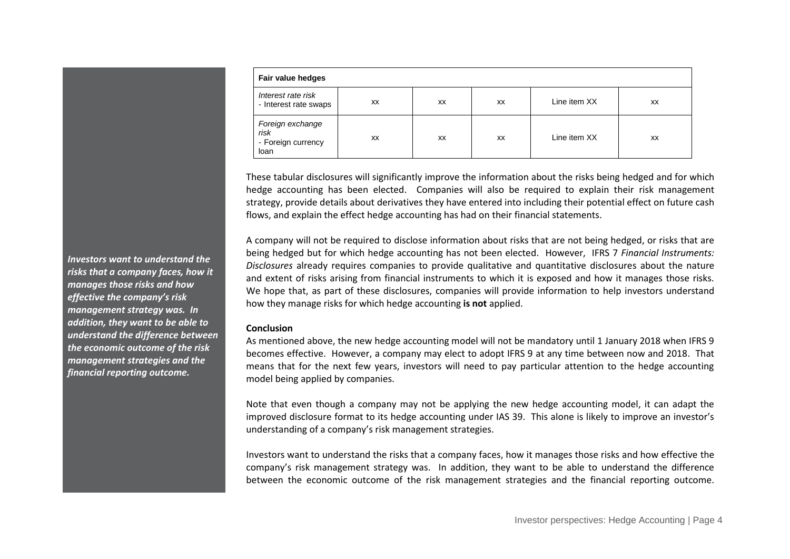| Fair value hedges                                      |    |           |    |              |    |  |  |
|--------------------------------------------------------|----|-----------|----|--------------|----|--|--|
| Interest rate risk<br>- Interest rate swaps            | XX | <b>XX</b> | XX | Line item XX | XX |  |  |
| Foreign exchange<br>risk<br>- Foreign currency<br>loan | XX | XX        | XX | Line item XX | XX |  |  |

These tabular disclosures will significantly improve the information about the risks being hedged and for which hedge accounting has been elected. Companies will also be required to explain their risk management strategy, provide details about derivatives they have entered into including their potential effect on future cash flows, and explain the effect hedge accounting has had on their financial statements.

A company will not be required to disclose information about risks that are not being hedged, or risks that are being hedged but for which hedge accounting has not been elected. However, IFRS 7 *Financial Instruments: Disclosures* already requires companies to provide qualitative and quantitative disclosures about the nature and extent of risks arising from financial instruments to which it is exposed and how it manages those risks. We hope that, as part of these disclosures, companies will provide information to help investors understand how they manage risks for which hedge accounting **is not** applied.

#### **Conclusion**

As mentioned above, the new hedge accounting model will not be mandatory until 1 January 2018 when IFRS 9 becomes effective. However, a company may elect to adopt IFRS 9 at any time between now and 2018. That means that for the next few years, investors will need to pay particular attention to the hedge accounting model being applied by companies.

Note that even though a company may not be applying the new hedge accounting model, it can adapt the improved disclosure format to its hedge accounting under IAS 39. This alone is likely to improve an investor's understanding of a company's risk management strategies.

Investors want to understand the risks that a company faces, how it manages those risks and how effective the company's risk management strategy was. In addition, they want to be able to understand the difference between the economic outcome of the risk management strategies and the financial reporting outcome.

*Investors want to understand the risks that a company faces, how it manages those risks and how effective the company's risk management strategy was. In addition, they want to be able to understand the difference between the economic outcome of the risk management strategies and the financial reporting outcome.*